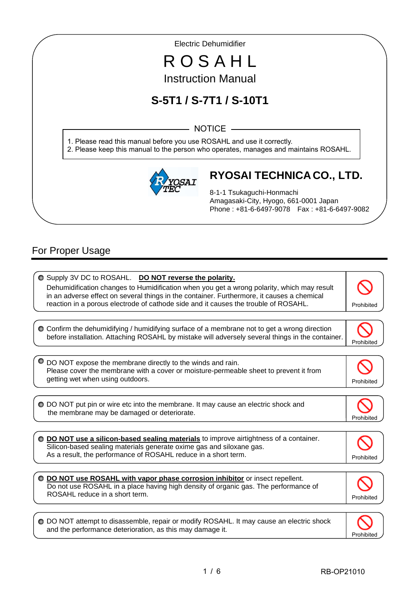Electric Dehumidifier

# R O S A H L Instruction Manual

# **S-5T1 / S-7T1 / S-10T1**

 $-$  NOTICE  $-$ 

1. Please read this manual before you use ROSAHL and use it correctly.

2. Please keep this manual to the person who operates, manages and maintains ROSAHL.



# **RYOSAI TECHNICA CO., LTD.**

8-1-1 Tsukaguchi-Honmachi Amagasaki-City, Hyogo, 661-0001 Japan Phone : +81-6-6497-9078 Fax : +81-6-6497-9082

# For Proper Usage

I

I

| O Supply 3V DC to ROSAHL. DO NOT reverse the polarity.<br>Dehumidification changes to Humidification when you get a wrong polarity, which may result<br>in an adverse effect on several things in the container. Furthermore, it causes a chemical<br>reaction in a porous electrode of cathode side and it causes the trouble of ROSAHL. | Prohibited |
|-------------------------------------------------------------------------------------------------------------------------------------------------------------------------------------------------------------------------------------------------------------------------------------------------------------------------------------------|------------|
| ○ Confirm the dehumidifying / humidifying surface of a membrane not to get a wrong direction<br>before installation. Attaching ROSAHL by mistake will adversely several things in the container.                                                                                                                                          | Prohibited |
| DO NOT expose the membrane directly to the winds and rain.<br>Please cover the membrane with a cover or moisture-permeable sheet to prevent it from<br>getting wet when using outdoors.                                                                                                                                                   | Prohibited |
| O DO NOT put pin or wire etc into the membrane. It may cause an electric shock and<br>the membrane may be damaged or deteriorate.                                                                                                                                                                                                         | Prohibite  |
| DO NOT use a silicon-based sealing materials to improve airtightness of a container.<br>Silicon-based sealing materials generate oxime gas and siloxane gas.<br>As a result, the performance of ROSAHL reduce in a short term.                                                                                                            | Prohibited |
| DO NOT use ROSAHL with vapor phase corrosion inhibitor or insect repellent.<br>Do not use ROSAHL in a place having high density of organic gas. The performance of<br>ROSAHL reduce in a short term.                                                                                                                                      | Prohibited |
| ○ DO NOT attempt to disassemble, repair or modify ROSAHL. It may cause an electric shock<br>and the performance deterioration, as this may damage it.                                                                                                                                                                                     | Prohibited |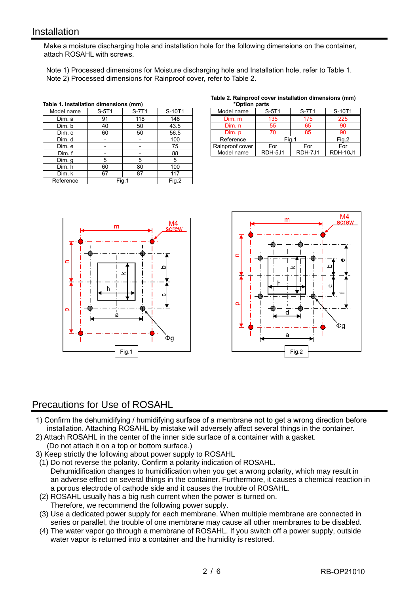## **Installation**

I

Make a moisture discharging hole and installation hole for the following dimensions on the container, attach ROSAHL with screws.

 Note 1) Processed dimensions for Moisture discharging hole and Installation hole, refer to Table 1. Note 2) Processed dimensions for Rainproof cover, refer to Table 2.

| Table 1. Installation dimensions (mm) |       |       |        |
|---------------------------------------|-------|-------|--------|
| Model name                            | S-5T1 | S-7T1 | S-10T1 |
| Dim. a                                | 91    | 118   | 148    |
| Dim. b                                | 40    | 50    | 43.5   |
| Dim. c                                | 60    | 50    | 56.5   |
| Dim. d                                |       |       | 100    |
| Dim. e                                |       |       | 75     |
| Dim. f                                |       |       | 88     |
| Dim. q                                | 5     | 5     | 5      |
| Dim. h                                | 60    | 80    | 100    |
| Dim. k                                | 67    | 87    | 117    |
| Reference                             | Fig.1 |       | Fig.2  |

#### **Table 2. Rainproof cover installation dimensions (mm)**

| *Option parts   |         |         |                 |  |
|-----------------|---------|---------|-----------------|--|
| Model name      | S-5T1   | S-7T1   | S-10T1          |  |
| Dim. m          | 135     | 175     | 225             |  |
| Dim. n          | 55      | 65      | 90              |  |
| Dim. p          | 70      | 85      | 90              |  |
| Reference       | Fia.1   |         | Fig.2           |  |
| Rainproof cover | For     | For     | For             |  |
| Model name      | RDH-5J1 | RDH-7J1 | <b>RDH-10J1</b> |  |





# Precautions for Use of ROSAHL

- 1) Confirm the dehumidifying / humidifying surface of a membrane not to get a wrong direction before installation. Attaching ROSAHL by mistake will adversely affect several things in the container.
- 2) Attach ROSAHL in the center of the inner side surface of a container with a gasket.
- (Do not attach it on a top or bottom surface.)
- 3) Keep strictly the following about power supply to ROSAHL
- (1) Do not reverse the polarity. Confirm a polarity indication of ROSAHL. Dehumidification changes to humidification when you get a wrong polarity, which may result in an adverse effect on several things in the container. Furthermore, it causes a chemical reaction in a porous electrode of cathode side and it causes the trouble of ROSAHL.
- (2) ROSAHL usually has a big rush current when the power is turned on. Therefore, we recommend the following power supply.
- (3) Use a dedicated power supply for each membrane. When multiple membrane are connected in series or parallel, the trouble of one membrane may cause all other membranes to be disabled.
- (4) The water vapor go through a membrane of ROSAHL. If you switch off a power supply, outside water vapor is returned into a container and the humidity is restored.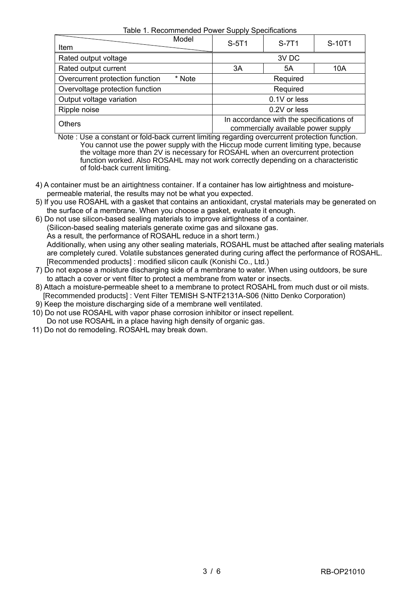Table 1. Recommended Power Supply Specifications

| <u>Habio T. INCODITIBIORIQUATI ONICI OUPPIY OPOCHIQUIOHO</u> |                                                                                 |       |        |
|--------------------------------------------------------------|---------------------------------------------------------------------------------|-------|--------|
| Model<br>Item                                                | S-5T1                                                                           | S-7T1 | S-10T1 |
| Rated output voltage                                         |                                                                                 | 3V DC |        |
| Rated output current                                         | 3A                                                                              | 5A    | 10A    |
| Overcurrent protection function<br>* Note                    | Required                                                                        |       |        |
| Overvoltage protection function                              | Required                                                                        |       |        |
| Output voltage variation                                     | 0.1V or less                                                                    |       |        |
| Ripple noise                                                 | 0.2V or less                                                                    |       |        |
| <b>Others</b>                                                | In accordance with the specifications of<br>commercially available power supply |       |        |

 Note : Use a constant or fold-back current limiting regarding overcurrent protection function. You cannot use the power supply with the Hiccup mode current limiting type, because the voltage more than 2V is necessary for ROSAHL when an overcurrent protection function worked. Also ROSAHL may not work correctly depending on a characteristic of fold-back current limiting.

- 4) A container must be an airtightness container. If a container has low airtightness and moisture permeable material, the results may not be what you expected.
- 5) If you use ROSAHL with a gasket that contains an antioxidant, crystal materials may be generated on the surface of a membrane. When you choose a gasket, evaluate it enough.
- 6) Do not use silicon-based sealing materials to improve airtightness of a container. (Silicon-based sealing materials generate oxime gas and siloxane gas. As a result, the performance of ROSAHL reduce in a short term.) Additionally, when using any other sealing materials, ROSAHL must be attached after sealing materials are completely cured. Volatile substances generated during curing affect the performance of ROSAHL. [Recommended products] : modified silicon caulk (Konishi Co., Ltd.)
- 7) Do not expose a moisture discharging side of a membrane to water. When using outdoors, be sure to attach a cover or vent filter to protect a membrane from water or insects.
- 8) Attach a moisture-permeable sheet to a membrane to protect ROSAHL from much dust or oil mists. [Recommended products] : Vent Filter TEMISH S-NTF2131A-S06 (Nitto Denko Corporation)
- 9) Keep the moisture discharging side of a membrane well ventilated.
- 10) Do not use ROSAHL with vapor phase corrosion inhibitor or insect repellent. Do not use ROSAHL in a place having high density of organic gas.
- 11) Do not do remodeling. ROSAHL may break down.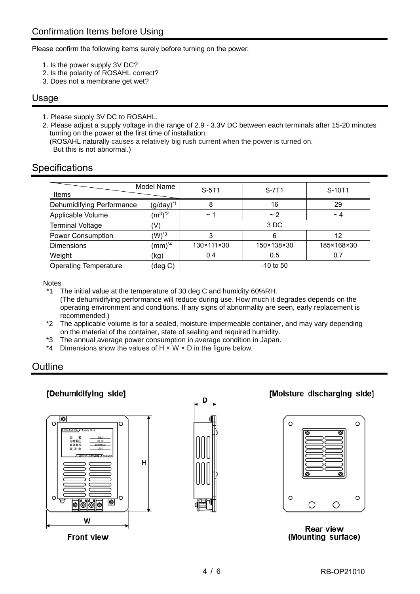Please confirm the following items surely before turning on the power.

- 1. Is the power supply 3V DC?
- 2. Is the polarity of ROSAHL correct?
- 3. Does not a membrane get wet?

#### Usage

1. Please supply 3V DC to ROSAHL.

2. Please adjust a supply voltage in the range of 2.9 - 3.3V DC between each terminals after 15-20 minutes turning on the power at the first time of installation. (ROSAHL naturally causes a relatively big rush current when the power is turned on.

But this is not abnormal.)

# **Specifications**

| Items                        | Model Name             | $S-5T1$    | S-7T1       | S-10T1     |
|------------------------------|------------------------|------------|-------------|------------|
| Dehumidifying Performance    | $(g/day)^{*1}$         | 8          | 16          | 29         |
| Applicable Volume            | $(m^3)^*$ <sup>2</sup> | $\sim$ 1   | ~2          | $\sim$ 4   |
| <b>Terminal Voltage</b>      | (V)                    |            | 3 DC        |            |
| <b>Power Consumption</b>     | $(W)^*$ <sup>3</sup>   | 3          | 6           | 12         |
| <b>Dimensions</b>            | $(mm)^{*4}$            | 130×111×30 | 150×138×30  | 185×168×30 |
| Weight                       | (kg)                   | 0.4        | 0.5         | 0.7        |
| <b>Operating Temperature</b> | (deg C)                |            | $-10$ to 50 |            |

**Notes** 

\*1 The initial value at the temperature of 30 deg C and humidity 60%RH. (The dehumidifying performance will reduce during use. How much it degrades depends on the operating environment and conditions. If any signs of abnormality are seen, early replacement is recommended.)

\*2 The applicable volume is for a sealed, moisture-impermeable container, and may vary depending on the material of the container, state of sealing and required humidity.

- \*3 The annual average power consumption in average condition in Japan.
- \*4 Dimensions show the values of  $H \times W \times D$  in the figure below.

# **Outline**

## [Dehumidifying side]



**Front view** 



## **Moisture discharging sidel**

| O |  | O |
|---|--|---|
| О |  | O |

**Rear view** (Mounting surface)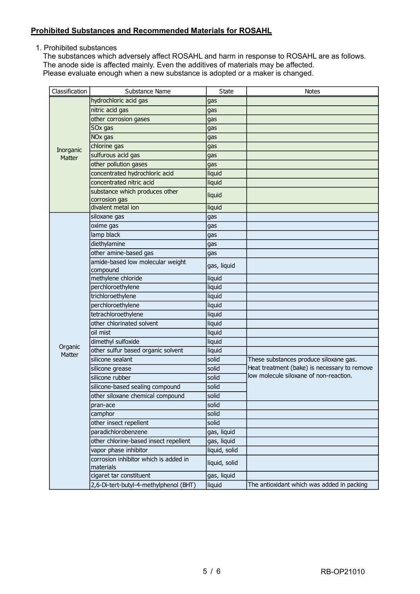#### **Prohibited Substances and Recommended Materials for ROSAHL**

1. Prohibited substances

The substances which adversely affect ROSAHL and harm in response to ROSAHL are as follows. The anode side is affected mainly. Even the additives of materials may be affected. Please evaluate enough when a new substance is adopted or a maker is changed.

| Classification      | Substance Name                                     | <b>State</b>  | <b>Notes</b>                                                                           |
|---------------------|----------------------------------------------------|---------------|----------------------------------------------------------------------------------------|
|                     | hydrochloric acid gas                              | gas           |                                                                                        |
|                     | nitric acid gas                                    | gas           |                                                                                        |
|                     | other corrosion gases                              | gas           |                                                                                        |
|                     | SOx gas                                            | gas           |                                                                                        |
| Inorganic<br>Matter | NO <sub>x</sub> gas                                | gas           |                                                                                        |
|                     | chlorine gas                                       | gas           |                                                                                        |
|                     | sulfurous acid gas                                 | gas           |                                                                                        |
|                     | other pollution gases                              | gas           |                                                                                        |
|                     | concentrated hydrochloric acid                     | liquid        |                                                                                        |
|                     | concentrated nitric acid                           | liquid        |                                                                                        |
|                     | substance which produces other                     | liquid        |                                                                                        |
|                     | corrosion gas                                      |               |                                                                                        |
|                     | divalent metal ion                                 | liquid        |                                                                                        |
|                     | siloxane gas                                       | gas           |                                                                                        |
|                     | oxime gas                                          | gas           |                                                                                        |
|                     | lamp black                                         | gas           |                                                                                        |
|                     | diethylamine                                       | gas           |                                                                                        |
|                     | other amine-based gas                              | gas           |                                                                                        |
|                     | amide-based low molecular weight                   | gas, liquid   |                                                                                        |
|                     | compound                                           |               |                                                                                        |
|                     | methylene chloride                                 | liquid        |                                                                                        |
|                     | perchloroethylene                                  | liquid        |                                                                                        |
|                     | trichloroethylene                                  | liquid        |                                                                                        |
|                     | perchloroethylene                                  | liquid        |                                                                                        |
|                     | tetrachloroethylene<br>other chlorinated solvent   | liquid        |                                                                                        |
|                     |                                                    | liquid        |                                                                                        |
|                     | oil mist                                           | liquid        |                                                                                        |
| Organic             | dimethyl sulfoxide                                 | liquid        |                                                                                        |
| Matter              | other sulfur based organic solvent                 | liquid        |                                                                                        |
|                     | silicone sealant                                   | solid         | These substances produce siloxane gas.                                                 |
|                     | silicone grease                                    | solid         | Heat treatment (bake) is necessary to remove<br>low molecule siloxane of non-reaction. |
|                     | silicone rubber                                    | solid         |                                                                                        |
|                     | silicone-based sealing compound                    | solid         |                                                                                        |
|                     | other siloxane chemical compound                   | solid         |                                                                                        |
|                     | pran-ace                                           | solid         |                                                                                        |
|                     | camphor                                            | solid         |                                                                                        |
|                     | other insect repellent                             | solid         |                                                                                        |
|                     | paradichlorobenzene                                | gas, liquid   |                                                                                        |
|                     | other chlorine-based insect repellent              | gas, liquid   |                                                                                        |
|                     | vapor phase inhibitor                              | liquid, solid |                                                                                        |
|                     | corrosion inhibitor which is added in<br>materials | liquid, solid |                                                                                        |
|                     | cigaret tar constituent                            | gas, liquid   |                                                                                        |
|                     | 2,6-Di-tert-butyl-4-methylphenol (BHT)             | liquid        | The antioxidant which was added in packing                                             |